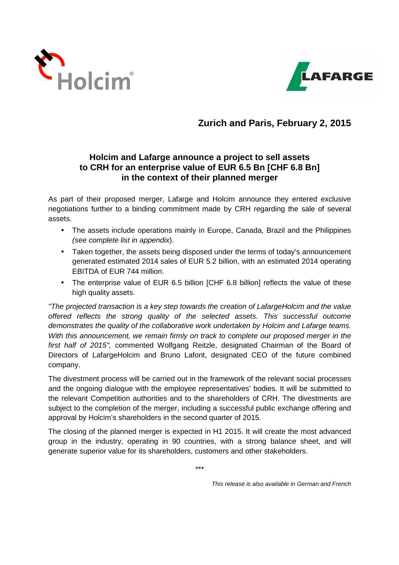



# **Zurich and Paris, February 2, 2015**

# **Holcim and Lafarge announce a project to sell assets to CRH for an enterprise value of EUR 6.5 Bn [CHF 6.8 Bn] in the context of their planned merger**

As part of their proposed merger, Lafarge and Holcim announce they entered exclusive negotiations further to a binding commitment made by CRH regarding the sale of several assets.

- The assets include operations mainly in Europe, Canada, Brazil and the Philippines (see complete list in appendix).
- Taken together, the assets being disposed under the terms of today's announcement generated estimated 2014 sales of EUR 5.2 billion, with an estimated 2014 operating EBITDA of EUR 744 million.
- The enterprise value of EUR 6.5 billion [CHF 6.8 billion] reflects the value of these high quality assets.

"The projected transaction is a key step towards the creation of LafargeHolcim and the value offered reflects the strong quality of the selected assets. This successful outcome demonstrates the quality of the collaborative work undertaken by Holcim and Lafarge teams. With this announcement, we remain firmly on track to complete our proposed merger in the first half of 2015", commented Wolfgang Reitzle, designated Chairman of the Board of Directors of LafargeHolcim and Bruno Lafont, designated CEO of the future combined company.

The divestment process will be carried out in the framework of the relevant social processes and the ongoing dialogue with the employee representatives' bodies. It will be submitted to the relevant Competition authorities and to the shareholders of CRH. The divestments are subject to the completion of the merger, including a successful public exchange offering and approval by Holcim's shareholders in the second quarter of 2015.

The closing of the planned merger is expected in H1 2015. It will create the most advanced group in the industry, operating in 90 countries, with a strong balance sheet, and will generate superior value for its shareholders, customers and other stakeholders.

\*\*\*

This release is also available in German and French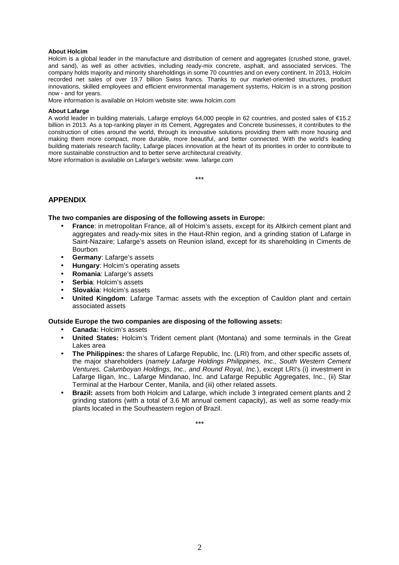## **About Holcim**

Holcim is a global leader in the manufacture and distribution of cement and aggregates (crushed stone, gravel, and sand), as well as other activities, including ready-mix concrete, asphalt, and associated services. The company holds majority and minority shareholdings in some 70 countries and on every continent. In 2013, Holcim recorded net sales of over 19.7 billion Swiss francs. Thanks to our market-oriented structures, product innovations, skilled employees and efficient environmental management systems, Holcim is in a strong position now - and for years.

More information is available on Holcim website site: www.holcim.com

## **About Lafarge**

A world leader in building materials, Lafarge employs 64,000 people in 62 countries, and posted sales of €15.2 billion in 2013. As a top-ranking player in its Cement, Aggregates and Concrete businesses, it contributes to the construction of cities around the world, through its innovative solutions providing them with more housing and making them more compact, more durable, more beautiful, and better connected. With the world's leading building materials research facility, Lafarge places innovation at the heart of its priorities in order to contribute to more sustainable construction and to better serve architectural creativity. More information is available on Lafarge's website: www. lafarge.com

\*\*\*

## **APPENDIX**

## **The two companies are disposing of the following assets in Europe:**

- **France**: in metropolitan France, all of Holcim's assets, except for its Altkirch cement plant and aggregates and ready-mix sites in the Haut-Rhin region, and a grinding station of Lafarge in Saint-Nazaire; Lafarge's assets on Reunion island, except for its shareholding in Ciments de Bourbon
- **Germany**: Lafarge's assets
- **Hungary**: Holcim's operating assets
- **Romania**: Lafarge's assets
- **Serbia**: Holcim's assets
- **Slovakia**: Holcim's assets
- **United Kingdom**: Lafarge Tarmac assets with the exception of Cauldon plant and certain associated assets

## **Outside Europe the two companies are disposing of the following assets:**

- **Canada:** Holcim's assets
- **United States:** Holcim's Trident cement plant (Montana) and some terminals in the Great Lakes area
- **The Philippines:** the shares of Lafarge Republic, Inc. (LRI) from, and other specific assets of, the major shareholders (namely Lafarge Holdings Philippines, Inc., South Western Cement Ventures, Calumboyan Holdings, Inc., and Round Royal, Inc.), except LRI's (i) investment in Lafarge Iligan, Inc., Lafarge Mindanao, Inc. and Lafarge Republic Aggregates, Inc., (ii) Star Terminal at the Harbour Center, Manila, and (iii) other related assets.
- **Brazil:** assets from both Holcim and Lafarge, which include 3 integrated cement plants and 2 grinding stations (with a total of 3.6 Mt annual cement capacity), as well as some ready-mix plants located in the Southeastern region of Brazil.

\*\*\*